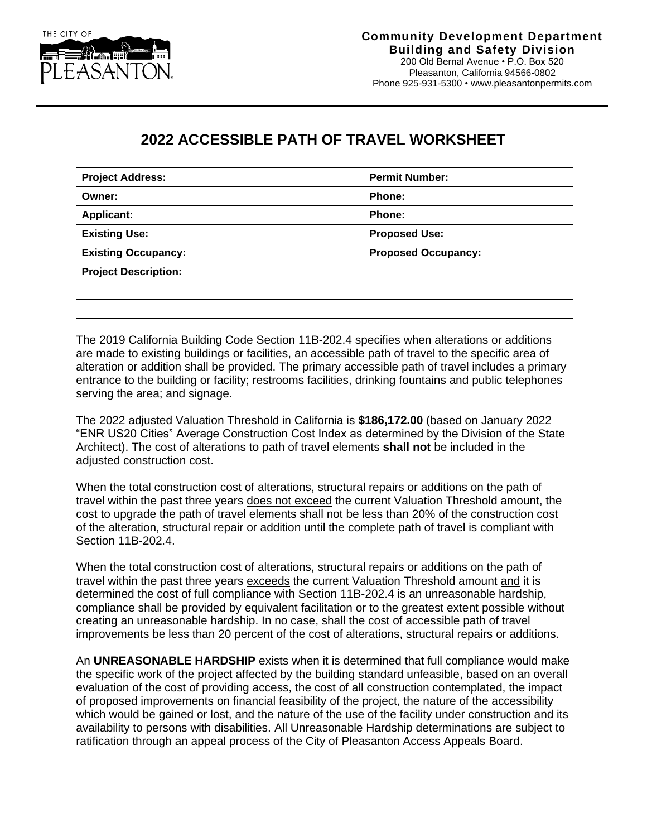

## **2022 ACCESSIBLE PATH OF TRAVEL WORKSHEET**

| <b>Project Address:</b>     | <b>Permit Number:</b>      |  |  |  |
|-----------------------------|----------------------------|--|--|--|
| Owner:                      | Phone:                     |  |  |  |
| <b>Applicant:</b>           | Phone:                     |  |  |  |
| <b>Existing Use:</b>        | <b>Proposed Use:</b>       |  |  |  |
| <b>Existing Occupancy:</b>  | <b>Proposed Occupancy:</b> |  |  |  |
| <b>Project Description:</b> |                            |  |  |  |
|                             |                            |  |  |  |
|                             |                            |  |  |  |

The 2019 California Building Code Section 11B-202.4 specifies when alterations or additions are made to existing buildings or facilities, an accessible path of travel to the specific area of alteration or addition shall be provided. The primary accessible path of travel includes a primary entrance to the building or facility; restrooms facilities, drinking fountains and public telephones serving the area; and signage.

The 2022 adjusted Valuation Threshold in California is **\$186,172.00** (based on January 2022 "ENR US20 Cities" Average Construction Cost Index as determined by the Division of the State Architect). The cost of alterations to path of travel elements **shall not** be included in the adjusted construction cost.

When the total construction cost of alterations, structural repairs or additions on the path of travel within the past three years does not exceed the current Valuation Threshold amount, the cost to upgrade the path of travel elements shall not be less than 20% of the construction cost of the alteration, structural repair or addition until the complete path of travel is compliant with Section 11B-202.4.

When the total construction cost of alterations, structural repairs or additions on the path of travel within the past three years exceeds the current Valuation Threshold amount and it is determined the cost of full compliance with Section 11B-202.4 is an unreasonable hardship, compliance shall be provided by equivalent facilitation or to the greatest extent possible without creating an unreasonable hardship. In no case, shall the cost of accessible path of travel improvements be less than 20 percent of the cost of alterations, structural repairs or additions.

An **UNREASONABLE HARDSHIP** exists when it is determined that full compliance would make the specific work of the project affected by the building standard unfeasible, based on an overall evaluation of the cost of providing access, the cost of all construction contemplated, the impact of proposed improvements on financial feasibility of the project, the nature of the accessibility which would be gained or lost, and the nature of the use of the facility under construction and its availability to persons with disabilities. All Unreasonable Hardship determinations are subject to ratification through an appeal process of the City of Pleasanton Access Appeals Board.